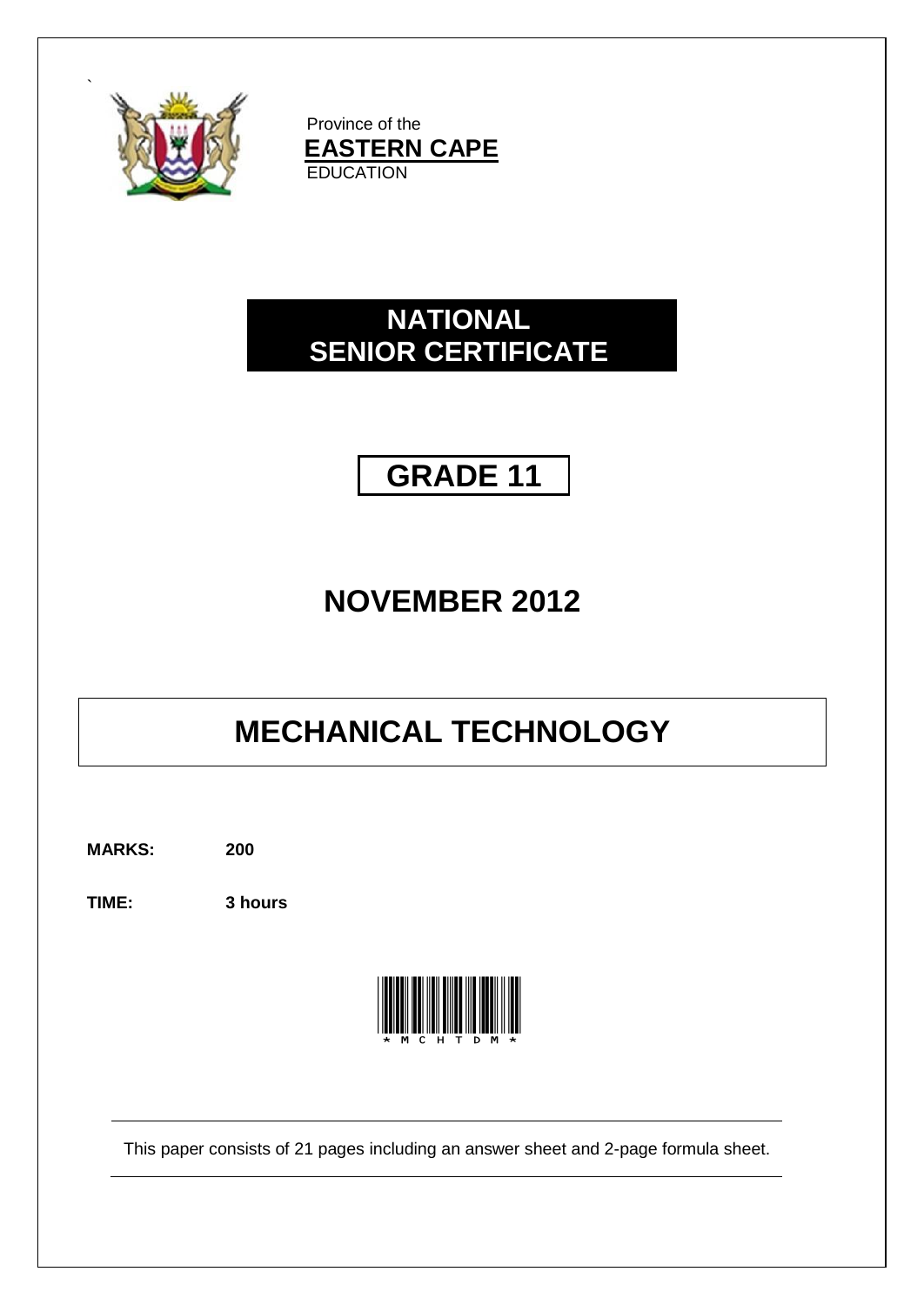

`

Province of the **EASTERN CAPE EDUCATION** 

## **NATIONAL SENIOR CERTIFICATE**



# **NOVEMBER 2012**

# **MECHANICAL TECHNOLOGY**

**MARKS: 200**

**TIME: 3 hours**



This paper consists of 21 pages including an answer sheet and 2-page formula sheet.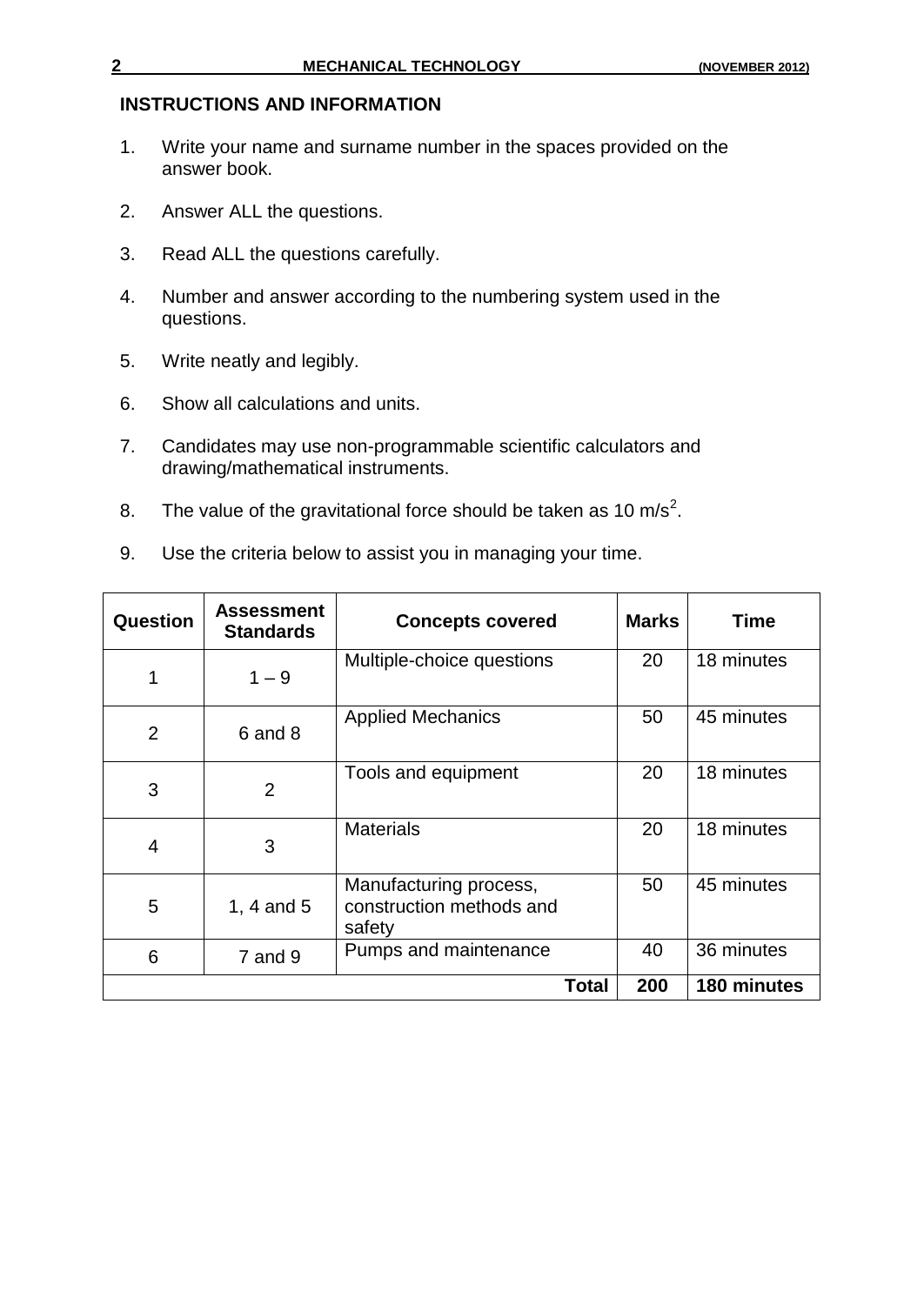#### **INSTRUCTIONS AND INFORMATION**

- 1. Write your name and surname number in the spaces provided on the answer book.
- 2. Answer ALL the questions.
- 3. Read ALL the questions carefully.
- 4. Number and answer according to the numbering system used in the questions.
- 5. Write neatly and legibly.
- 6. Show all calculations and units.
- 7. Candidates may use non-programmable scientific calculators and drawing/mathematical instruments.
- 8. The value of the gravitational force should be taken as 10 m/s<sup>2</sup>.
- 9. Use the criteria below to assist you in managing your time.

| Question       | <b>Assessment</b><br><b>Standards</b> | <b>Concepts covered</b>                                      | <b>Marks</b> | <b>Time</b> |
|----------------|---------------------------------------|--------------------------------------------------------------|--------------|-------------|
| $\mathbf 1$    | $1 - 9$                               | Multiple-choice questions                                    | 20           | 18 minutes  |
| $\overline{2}$ | 6 and 8                               | <b>Applied Mechanics</b>                                     | 50           | 45 minutes  |
| 3              | $\overline{2}$                        | Tools and equipment                                          | 20           | 18 minutes  |
| $\overline{4}$ | 3                                     | <b>Materials</b>                                             | 20           | 18 minutes  |
| 5              | 1, 4 and $5$                          | Manufacturing process,<br>construction methods and<br>safety | 50           | 45 minutes  |
| 6              | $7$ and $9$                           | 36 minutes<br>40<br>Pumps and maintenance                    |              |             |
|                |                                       | Total                                                        | 200          | 180 minutes |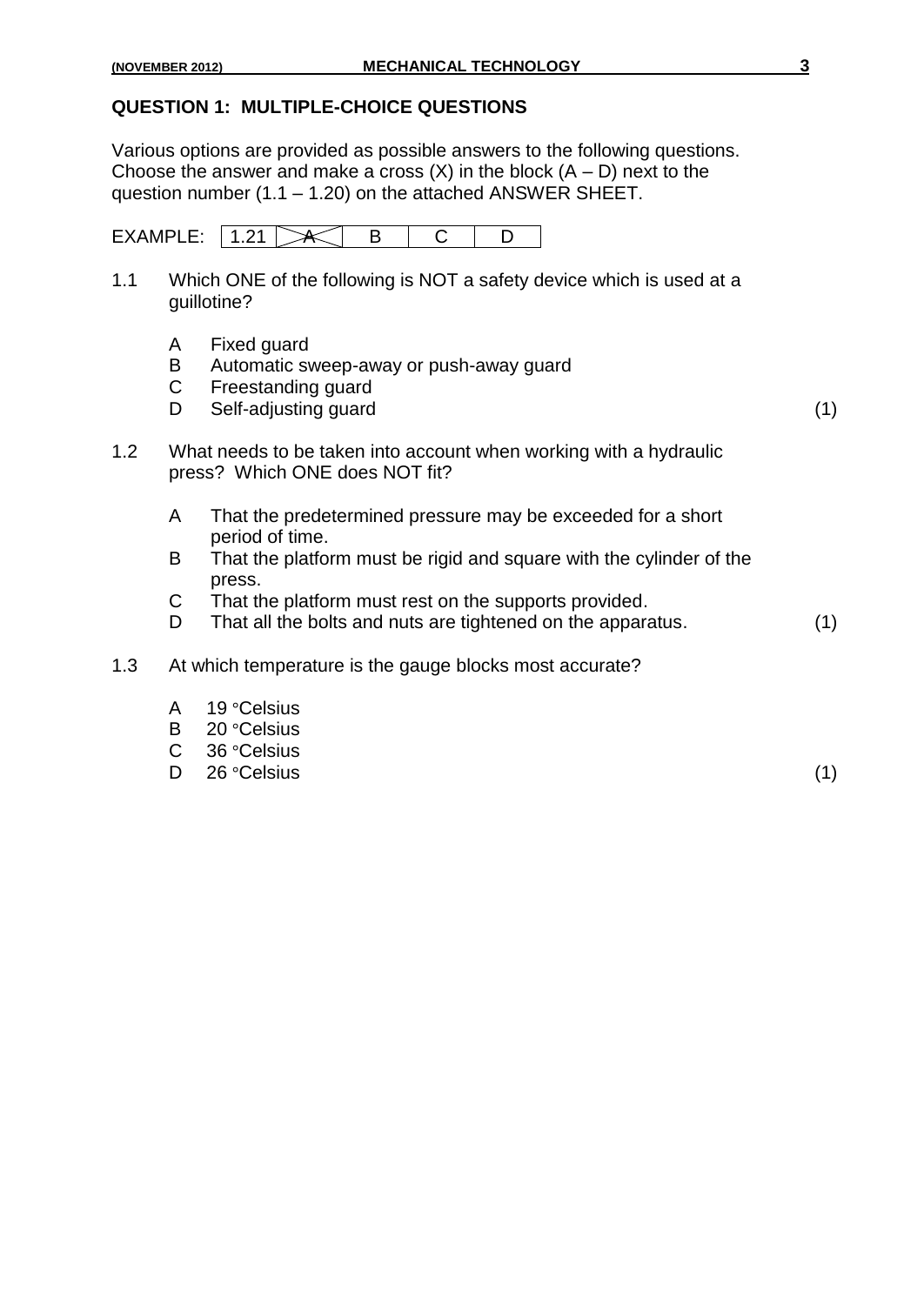#### **QUESTION 1: MULTIPLE-CHOICE QUESTIONS**

Various options are provided as possible answers to the following questions. Choose the answer and make a cross  $(X)$  in the block  $(A - D)$  next to the question number (1.1 – 1.20) on the attached ANSWER SHEET.

| F<br>----- |  |  |  |
|------------|--|--|--|

- 1.1 Which ONE of the following is NOT a safety device which is used at a guillotine?
	- A Fixed guard
	- B Automatic sweep-away or push-away guard
	- C Freestanding guard
	- D Self-adjusting guard (1) (1)

- 1.2 What needs to be taken into account when working with a hydraulic press? Which ONE does NOT fit?
	- A That the predetermined pressure may be exceeded for a short period of time.
	- B That the platform must be rigid and square with the cylinder of the press.
	- C That the platform must rest on the supports provided.
	- D That all the bolts and nuts are tightened on the apparatus. (1)
- 1.3 At which temperature is the gauge blocks most accurate?
	- A 19 °Celsius
	- B 20 °Celsius
	- C 36 °Celsius
	- D 26 °Celsius (1)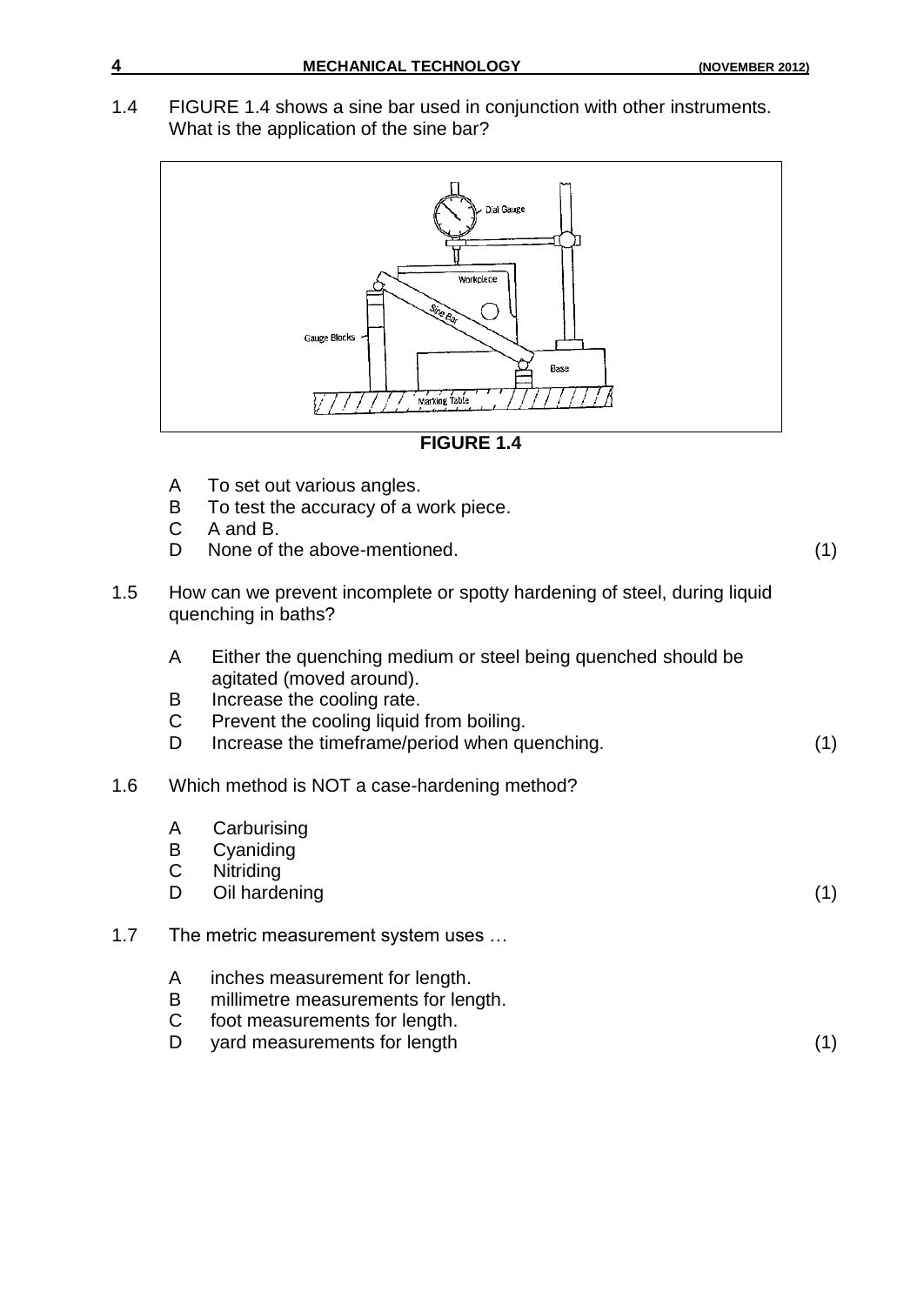1.4 FIGURE 1.4 shows a sine bar used in conjunction with other instruments. What is the application of the sine bar?





- A To set out various angles.
- B To test the accuracy of a work piece.
- C A and B.
- D None of the above-mentioned. (1)
- 1.5 How can we prevent incomplete or spotty hardening of steel, during liquid quenching in baths?
	- A Either the quenching medium or steel being quenched should be agitated (moved around).
	- B Increase the cooling rate.<br>C Prevent the cooling liquid
	- Prevent the cooling liquid from boiling.
	- D Increase the timeframe/period when quenching. (1)

#### 1.6 Which method is NOT a case-hardening method?

- A Carburising
- B Cyaniding
- C Nitriding
- D Oil hardening (1) (1)

#### 1.7 The metric measurement system uses ...

- A inches measurement for length.
- B millimetre measurements for length.
- C foot measurements for length.
- D yard measurements for length (1) (1)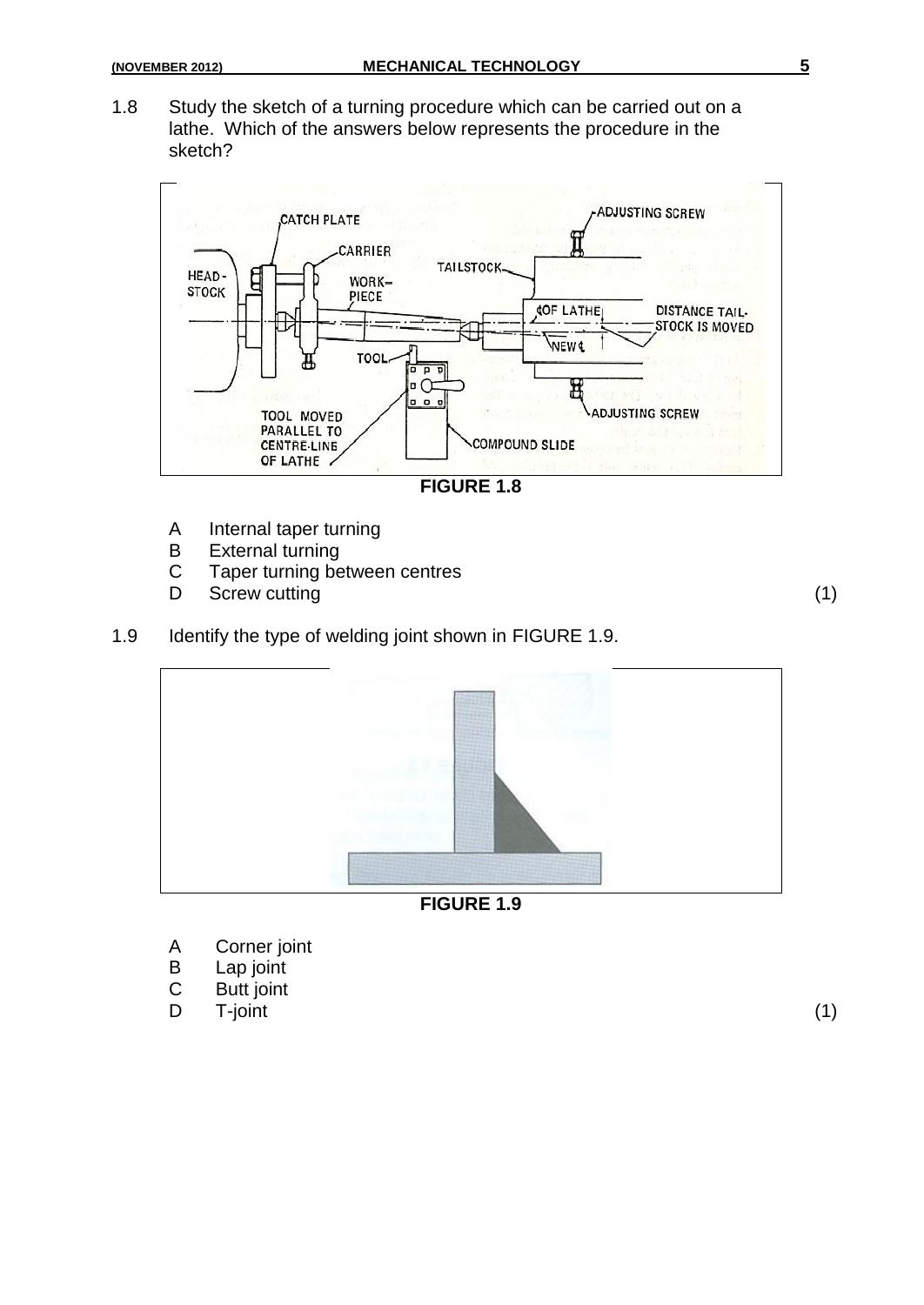1.8 Study the sketch of a turning procedure which can be carried out on a lathe. Which of the answers below represents the procedure in the sketch?



- A Internal taper turning
- B External turning
- C Taper turning between centres
- D Screw cutting (1) (1)

1.9 Identify the type of welding joint shown in FIGURE 1.9.



**FIGURE 1.9**

- A Corner joint<br>B Lap joint
- Lap joint
- C Butt joint
- D T-joint (1)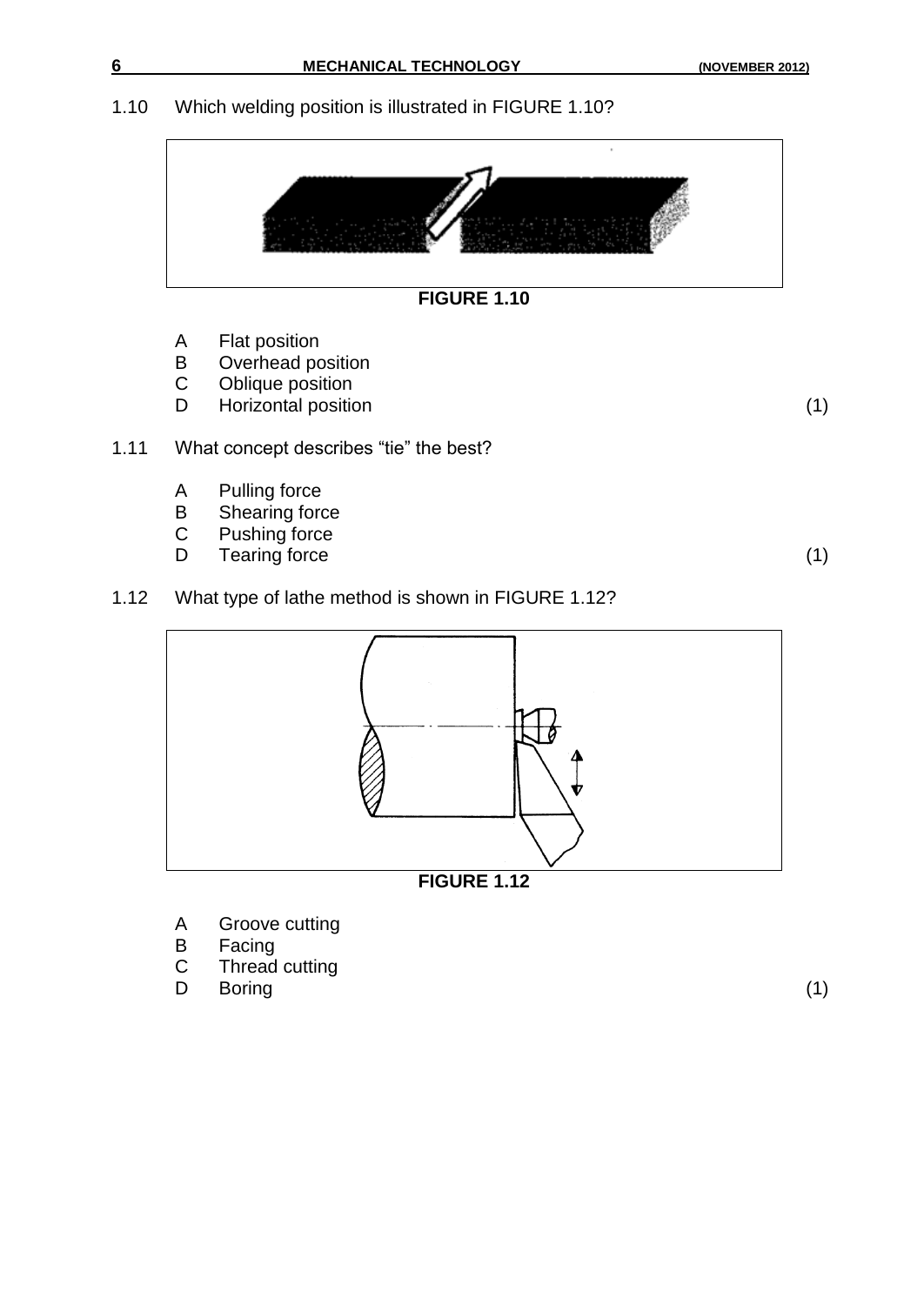#### 1.10 Which welding position is illustrated in FIGURE 1.10?





- A Flat position
- B Overhead position<br>C Oblique position
- Oblique position
- D Horizontal position (1)

- 1.11 What concept describes "tie" the best?
	- A Pulling force
	- B Shearing force
	- C Pushing force<br>D Tearing force
	- Tearing force (1) (1)

1.12 What type of lathe method is shown in FIGURE 1.12?



**FIGURE 1.12**

- A Groove cutting
- B Facing
- C Thread cutting
- D Boring (1)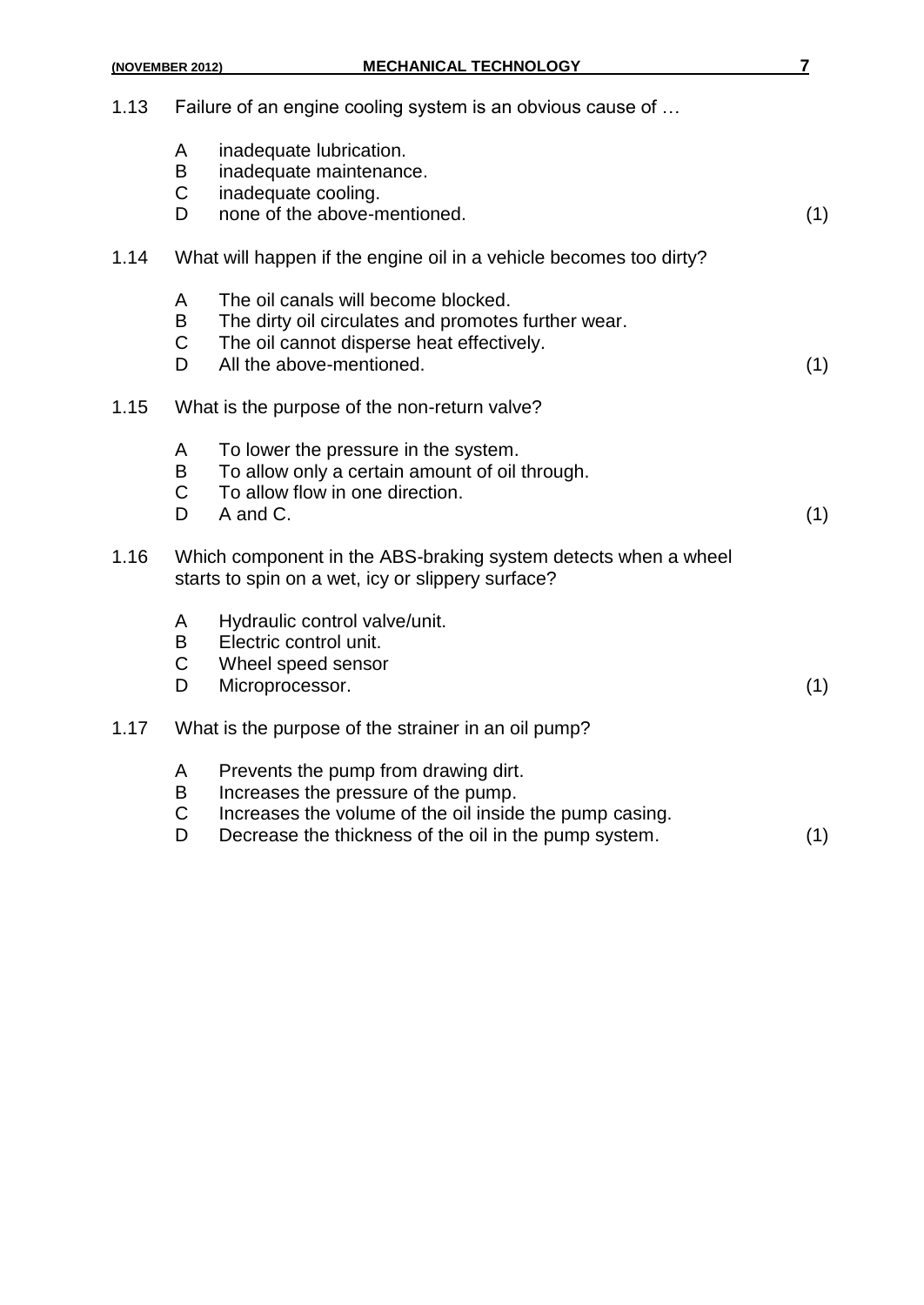| 1.13 |                            | Failure of an engine cooling system is an obvious cause of                                                                                                                                      |     |
|------|----------------------------|-------------------------------------------------------------------------------------------------------------------------------------------------------------------------------------------------|-----|
|      | A<br>B<br>$\mathsf C$<br>D | inadequate lubrication.<br>inadequate maintenance.<br>inadequate cooling.<br>none of the above-mentioned.                                                                                       | (1) |
| 1.14 |                            | What will happen if the engine oil in a vehicle becomes too dirty?                                                                                                                              |     |
|      | A<br>B<br>$\mathsf C$<br>D | The oil canals will become blocked.<br>The dirty oil circulates and promotes further wear.<br>The oil cannot disperse heat effectively.<br>All the above-mentioned.                             | (1) |
| 1.15 |                            | What is the purpose of the non-return valve?                                                                                                                                                    |     |
|      | A<br>B<br>$\mathsf C$<br>D | To lower the pressure in the system.<br>To allow only a certain amount of oil through.<br>To allow flow in one direction.<br>A and C.                                                           | (1) |
| 1.16 |                            | Which component in the ABS-braking system detects when a wheel<br>starts to spin on a wet, icy or slippery surface?                                                                             |     |
|      | A<br>B<br>$\mathsf C$<br>D | Hydraulic control valve/unit.<br>Electric control unit.<br>Wheel speed sensor<br>Microprocessor.                                                                                                | (1) |
| 1.17 |                            | What is the purpose of the strainer in an oil pump?                                                                                                                                             |     |
|      | A<br>B<br>$\mathsf C$<br>D | Prevents the pump from drawing dirt.<br>Increases the pressure of the pump.<br>Increases the volume of the oil inside the pump casing.<br>Decrease the thickness of the oil in the pump system. | (1) |
|      |                            |                                                                                                                                                                                                 |     |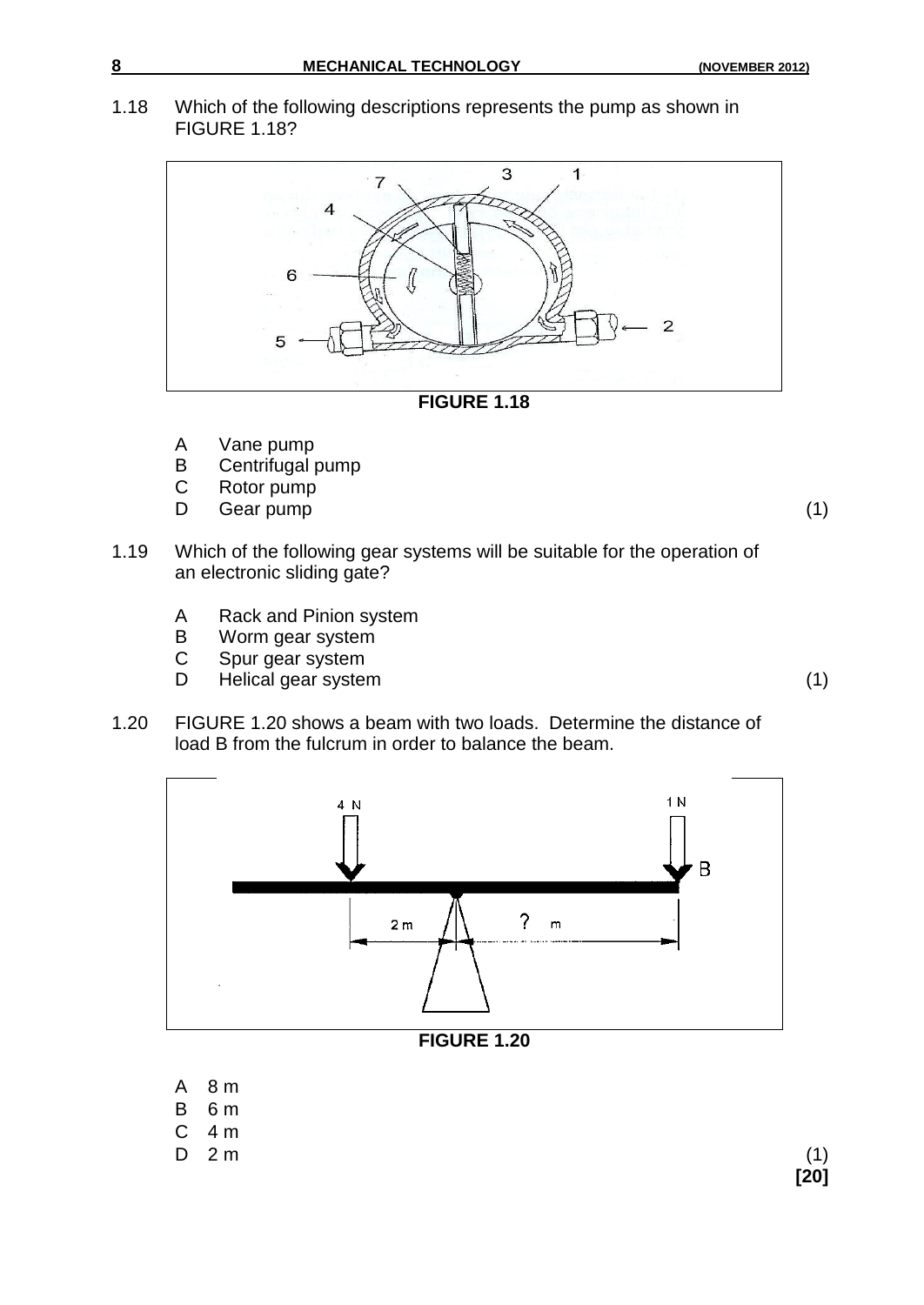1.18 Which of the following descriptions represents the pump as shown in FIGURE 1.18?



- A Vane pump
- B Centrifugal pump
- C Rotor pump
- D Gear pump (1) (1)

- 1.19 Which of the following gear systems will be suitable for the operation of an electronic sliding gate?
	- A Rack and Pinion system
	- B Worm gear system
	- C Spur gear system
	- D Helical gear system (1)
- 1.20 FIGURE 1.20 shows a beam with two loads. Determine the distance of load B from the fulcrum in order to balance the beam.



- B 6 m C 4 m
- D 2 m (1)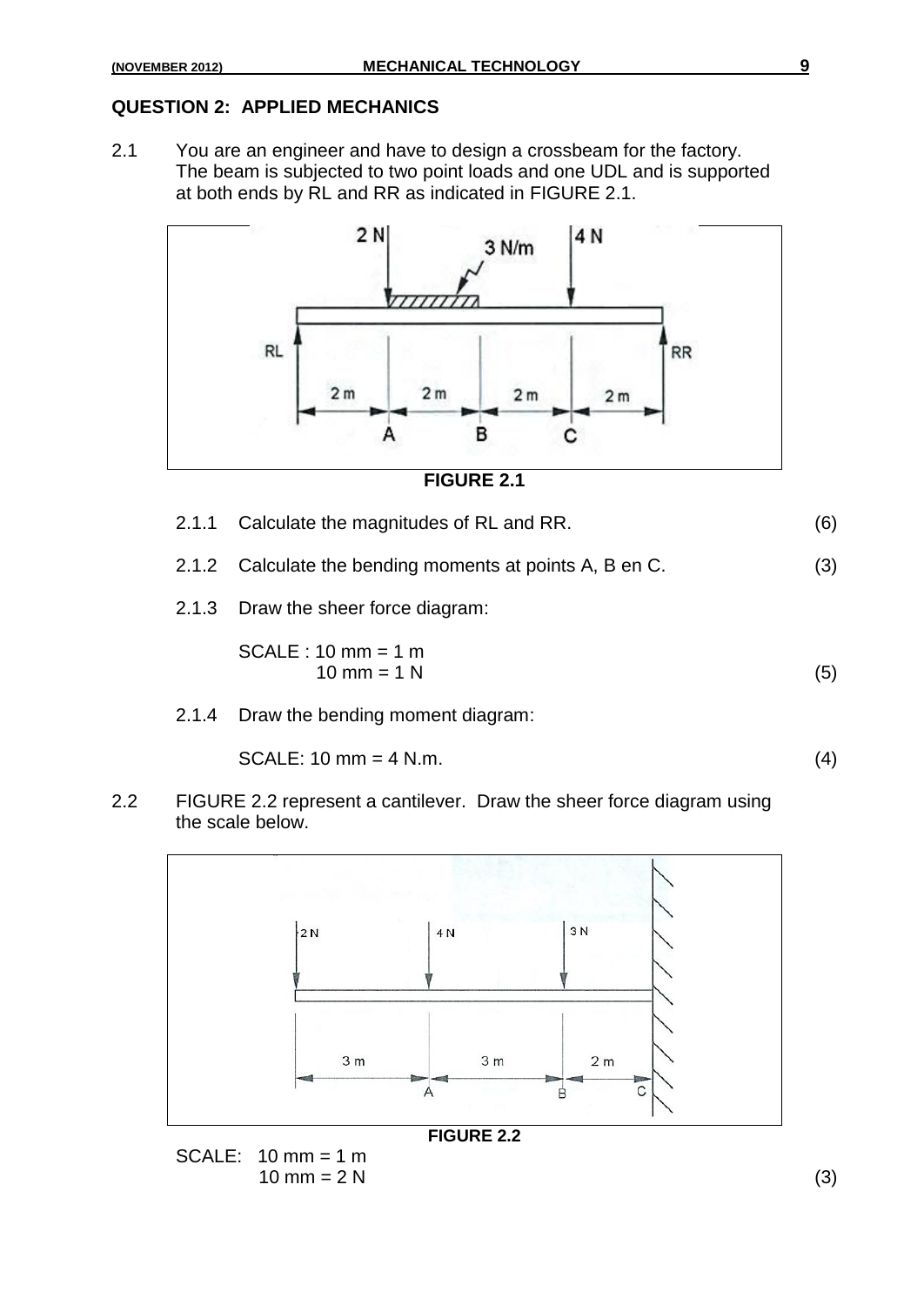#### **QUESTION 2: APPLIED MECHANICS**

2.1 You are an engineer and have to design a crossbeam for the factory. The beam is subjected to two point loads and one UDL and is supported at both ends by RL and RR as indicated in FIGURE 2.1.



#### **FIGURE 2.1**

| 2.1.1 | Calculate the magnitudes of RL and RR.                   | (6) |
|-------|----------------------------------------------------------|-----|
|       | 2.1.2 Calculate the bending moments at points A, B en C. | (3) |
|       | 2.1.3 Draw the sheer force diagram:                      |     |
|       | $SCALE : 10 mm = 1 m$<br>10 mm = $1 N$                   | (5) |
| 2.1.4 | Draw the bending moment diagram:                         |     |
|       | $SCALE: 10 mm = 4 N.m.$                                  |     |

2.2 FIGURE 2.2 represent a cantilever. Draw the sheer force diagram using the scale below.

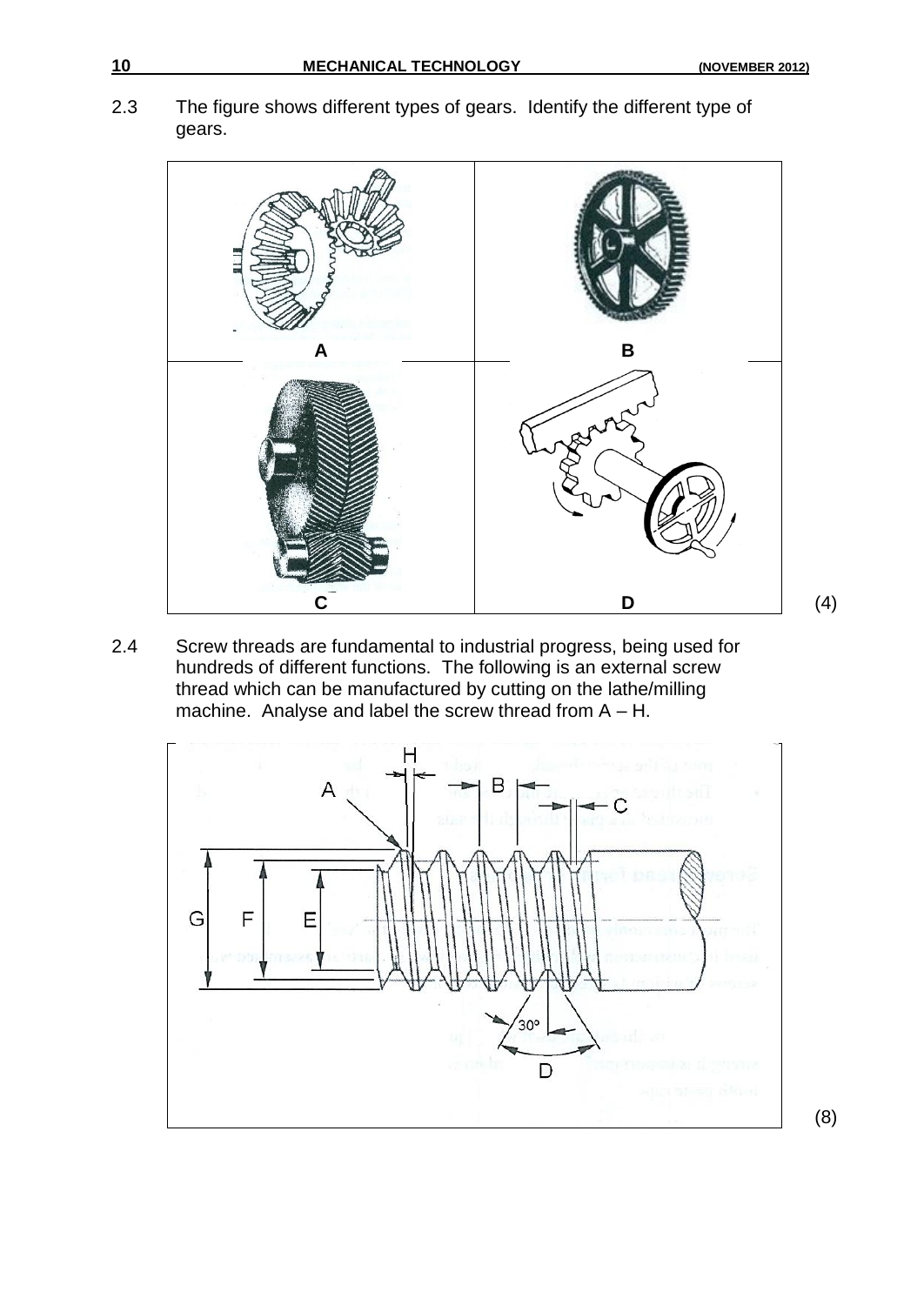2.3 The figure shows different types of gears. Identify the different type of gears.



2.4 Screw threads are fundamental to industrial progress, being used for hundreds of different functions. The following is an external screw thread which can be manufactured by cutting on the lathe/milling machine. Analyse and label the screw thread from A – H.



(8)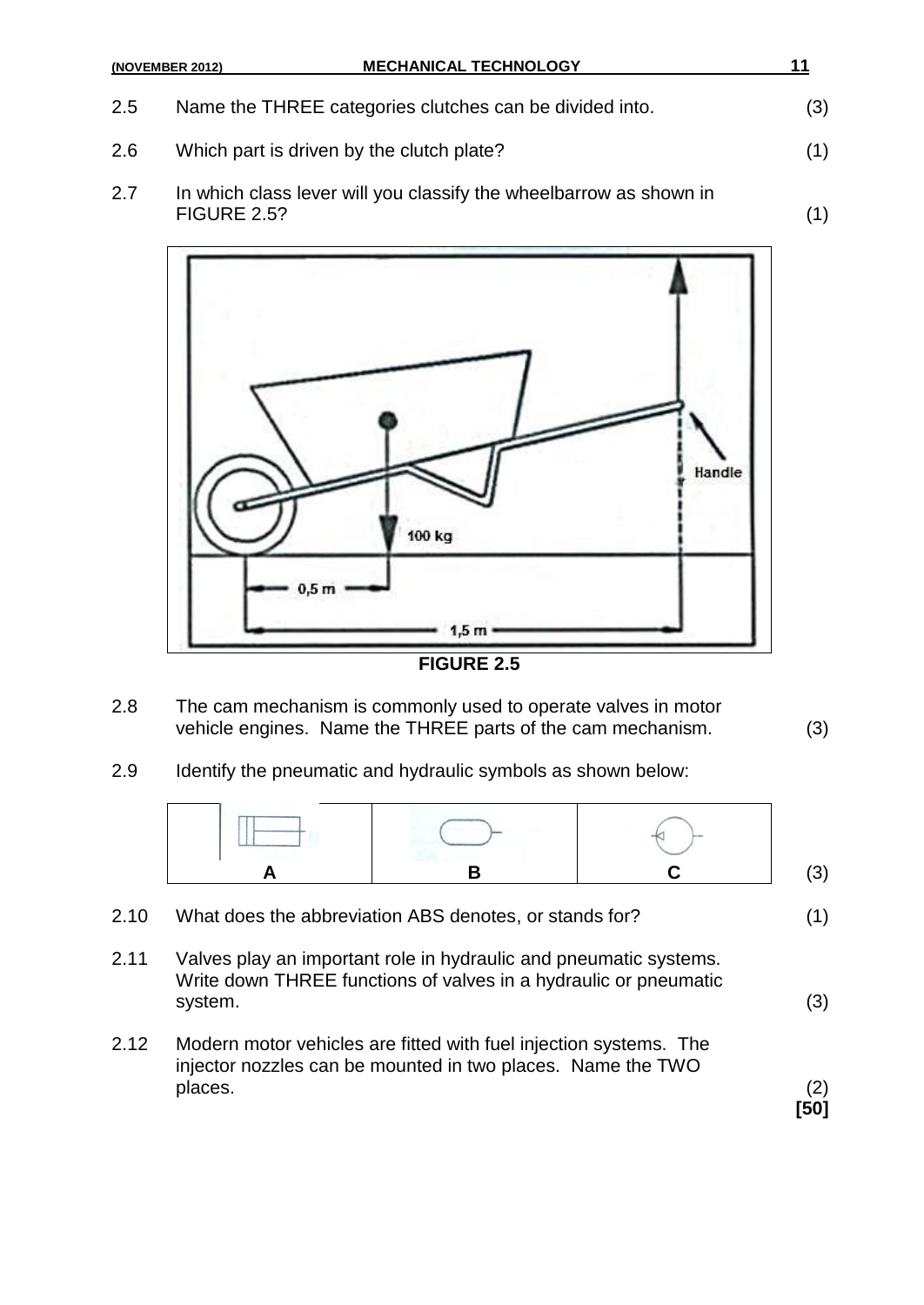|     | <b>MECHANICAL TECHNOLOGY</b><br>(NOVEMBER 2012)                                   | 11  |
|-----|-----------------------------------------------------------------------------------|-----|
| 2.5 | Name the THREE categories clutches can be divided into.                           | (3) |
| 2.6 | Which part is driven by the clutch plate?                                         | (1) |
| 2.7 | In which class lever will you classify the wheelbarrow as shown in<br>FIGURE 2.52 | (1) |



2.8 The cam mechanism is commonly used to operate valves in motor vehicle engines. Name the THREE parts of the cam mechanism. (3)

2.9 Identify the pneumatic and hydraulic symbols as shown below:



- 2.11 Valves play an important role in hydraulic and pneumatic systems. Write down THREE functions of valves in a hydraulic or pneumatic system. (3)
- 2.12 Modern motor vehicles are fitted with fuel injection systems. The injector nozzles can be mounted in two places. Name the TWO places. (2)

**[50]**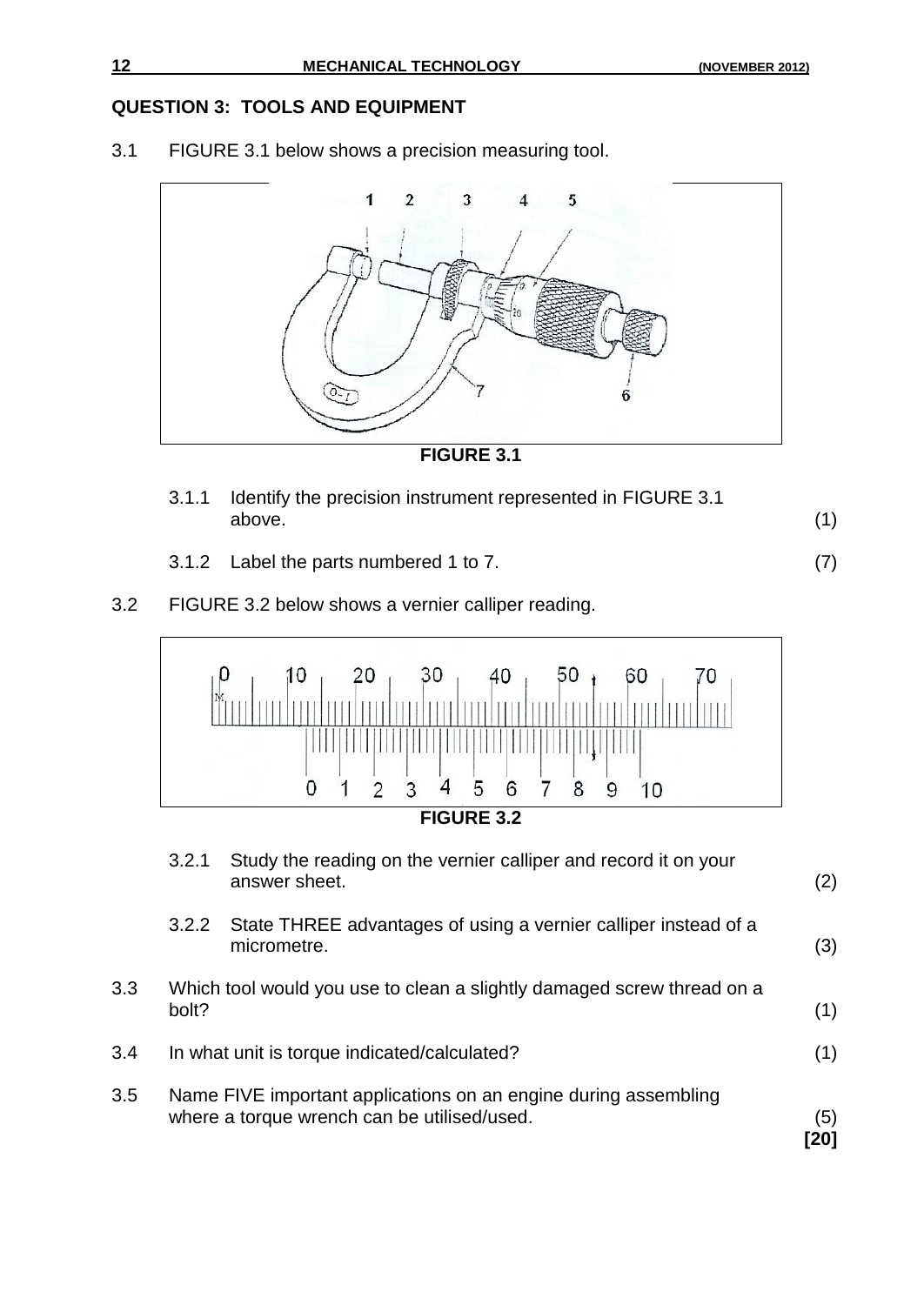### **QUESTION 3: TOOLS AND EQUIPMENT**

3.1 FIGURE 3.1 below shows a precision measuring tool.



**FIGURE 3.1**

- 3.1.1 Identify the precision instrument represented in FIGURE 3.1 above. (1)
- 3.1.2 Label the parts numbered 1 to 7. (7)
- 3.2 FIGURE 3.2 below shows a vernier calliper reading.



|     | 3.2.1 | Study the reading on the vernier calliper and record it on your<br>answer sheet.                               | (2)         |
|-----|-------|----------------------------------------------------------------------------------------------------------------|-------------|
|     | 3.2.2 | State THREE advantages of using a vernier calliper instead of a<br>micrometre.                                 | (3)         |
| 3.3 | bolt? | Which tool would you use to clean a slightly damaged screw thread on a                                         | (1)         |
| 3.4 |       | In what unit is torque indicated/calculated?                                                                   | (1)         |
| 3.5 |       | Name FIVE important applications on an engine during assembling<br>where a torque wrench can be utilised/used. | (5)<br>[20] |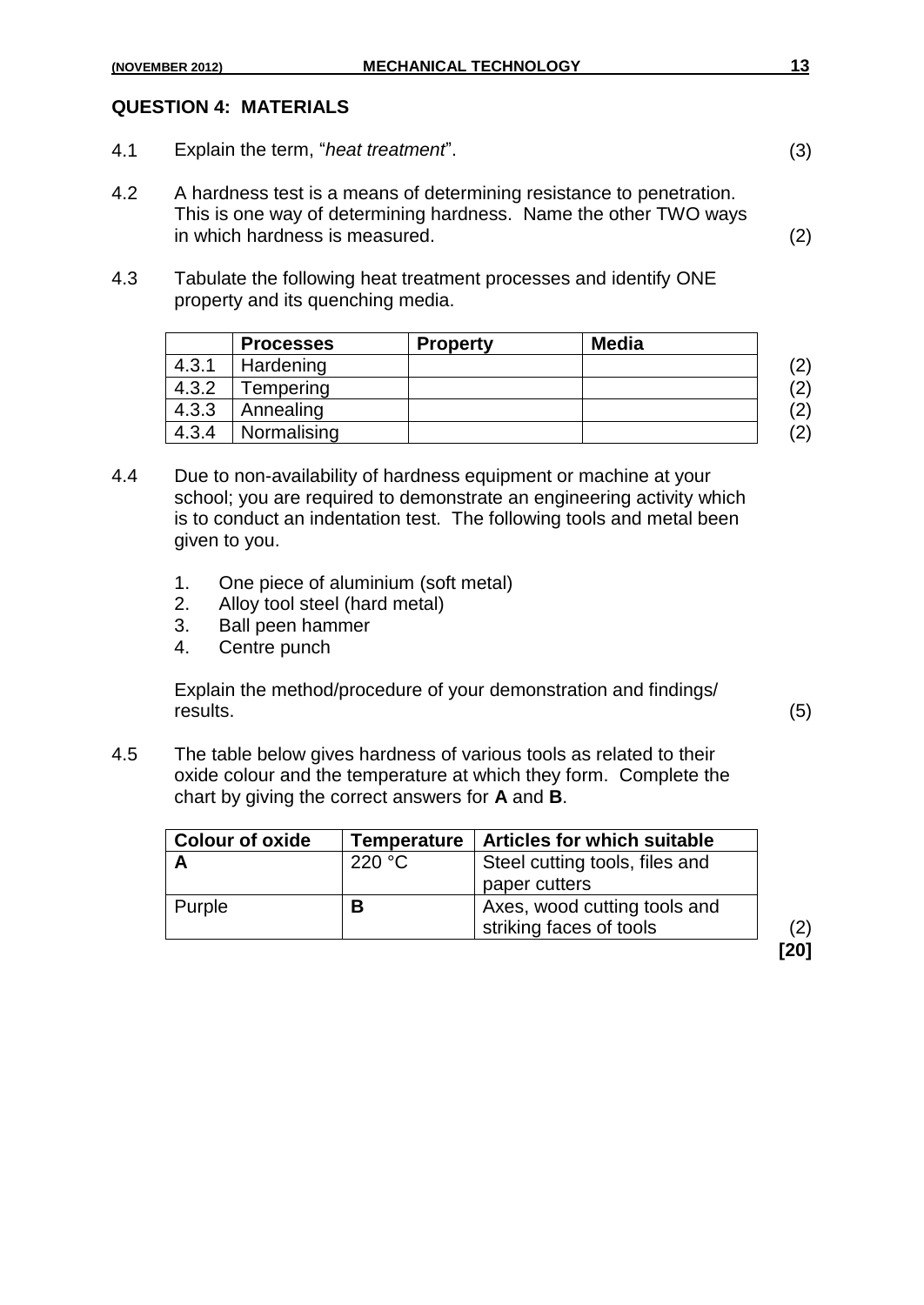#### **QUESTION 4: MATERIALS**

- 4.1 Explain the term, "*heat treatment*". (3)
- 4.2 A hardness test is a means of determining resistance to penetration. This is one way of determining hardness. Name the other TWO ways in which hardness is measured. (2)
- 4.3 Tabulate the following heat treatment processes and identify ONE property and its quenching media.

|       | <b>Processes</b> | <b>Property</b> | <b>Media</b> |                   |
|-------|------------------|-----------------|--------------|-------------------|
| 4.3.1 | Hardening        |                 |              | $\left( 2\right)$ |
| 4.3.2 | Tempering        |                 |              | (2)               |
| 4.3.3 | Annealing        |                 |              | (2)               |
| 4.3.4 | Normalising      |                 |              | (2)               |

- 4.4 Due to non-availability of hardness equipment or machine at your school; you are required to demonstrate an engineering activity which is to conduct an indentation test. The following tools and metal been given to you.
	- 1. One piece of aluminium (soft metal)
	- 2. Alloy tool steel (hard metal)
	- 3. Ball peen hammer
	- 4. Centre punch

Explain the method/procedure of your demonstration and findings/ results. (5)

4.5 The table below gives hardness of various tools as related to their oxide colour and the temperature at which they form. Complete the chart by giving the correct answers for **A** and **B**.

| <b>Colour of oxide</b> | Temperature | <b>Articles for which suitable</b> |
|------------------------|-------------|------------------------------------|
|                        | 220 °C      | Steel cutting tools, files and     |
|                        |             | paper cutters                      |
| Purple                 | в           | Axes, wood cutting tools and       |
|                        |             | striking faces of tools            |

**[20]**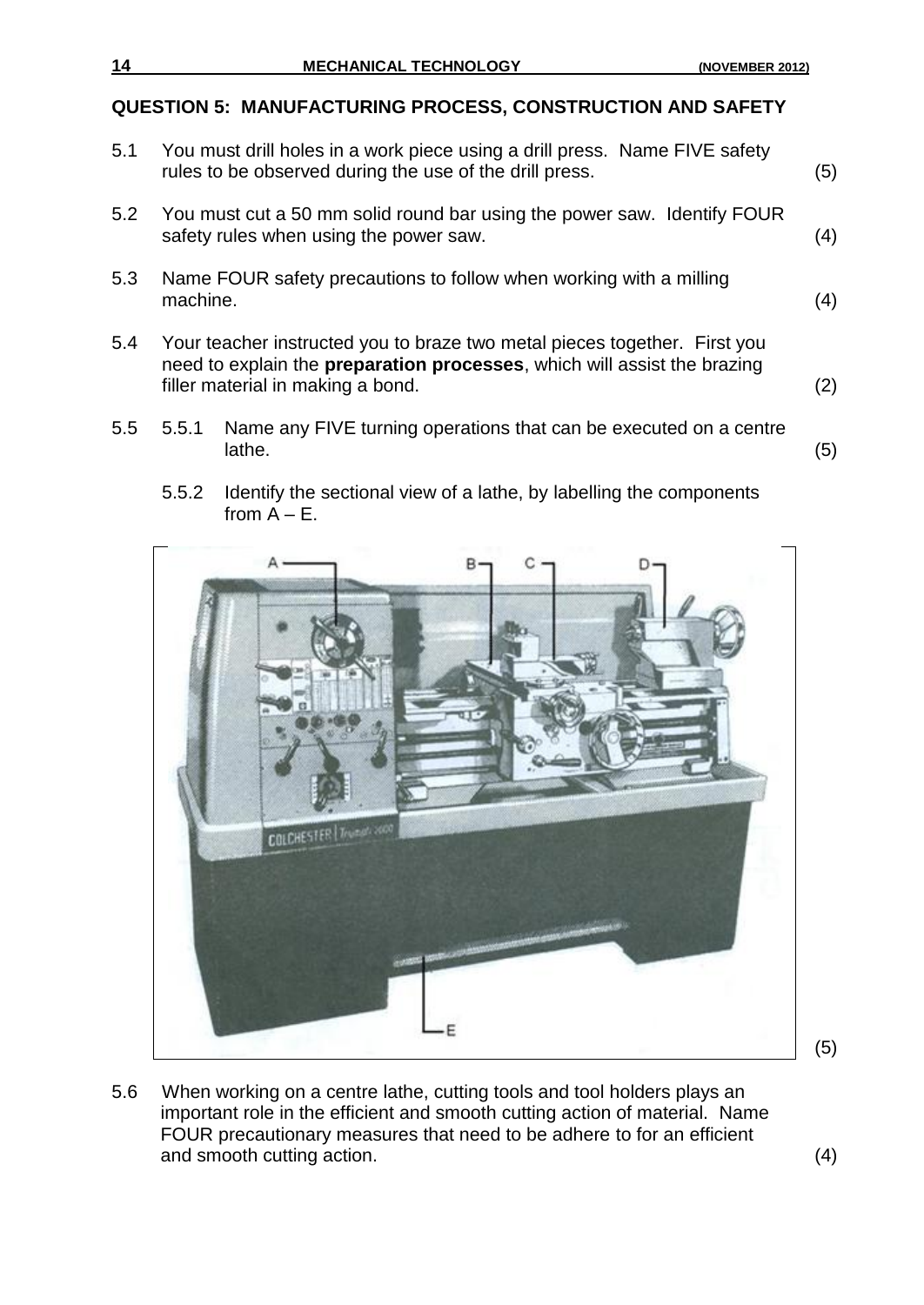#### **QUESTION 5: MANUFACTURING PROCESS, CONSTRUCTION AND SAFETY**

- 5.1 You must drill holes in a work piece using a drill press. Name FIVE safety rules to be observed during the use of the drill press. (5)
- 5.2 You must cut a 50 mm solid round bar using the power saw. Identify FOUR safety rules when using the power saw. (4)
- 5.3 Name FOUR safety precautions to follow when working with a milling  $\blacksquare$ machine.  $\tag{4}$
- 5.4 Your teacher instructed you to braze two metal pieces together. First you need to explain the **preparation processes**, which will assist the brazing filler material in making a bond. (2)
- 5.5 5.5.1 Name any FIVE turning operations that can be executed on a centre lathe. (5)
	- 5.5.2 Identify the sectional view of a lathe, by labelling the components from  $A - E$ .



5.6 When working on a centre lathe, cutting tools and tool holders plays an important role in the efficient and smooth cutting action of material. Name FOUR precautionary measures that need to be adhere to for an efficient and smooth cutting action. (4)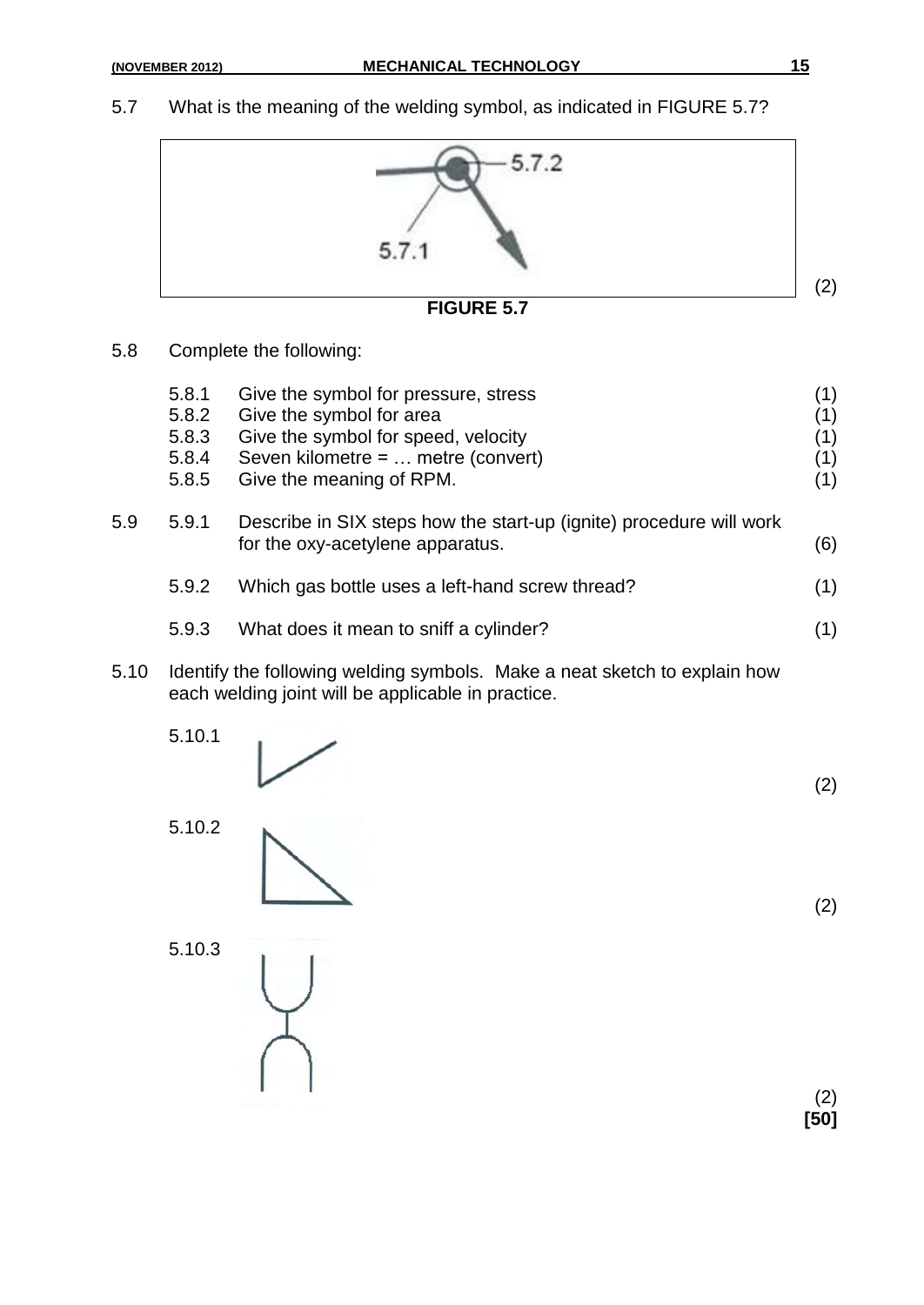5.7 What is the meaning of the welding symbol, as indicated in FIGURE 5.7?



5.8 Complete the following:

|      | 5.8.1<br>5.8.2<br>5.8.3<br>5.8.4<br>5.8.5 | Give the symbol for pressure, stress<br>Give the symbol for area<br>Give the symbol for speed, velocity<br>Seven kilometre = $\dots$ metre (convert)<br>Give the meaning of RPM. | (1)<br>(1)<br>(1)<br>(1)<br>(1) |
|------|-------------------------------------------|----------------------------------------------------------------------------------------------------------------------------------------------------------------------------------|---------------------------------|
| 5.9  | 5.9.1                                     | Describe in SIX steps how the start-up (ignite) procedure will work<br>for the oxy-acetylene apparatus.                                                                          | (6)                             |
|      | 5.9.2                                     | Which gas bottle uses a left-hand screw thread?                                                                                                                                  | (1)                             |
|      | 5.9.3                                     | What does it mean to sniff a cylinder?                                                                                                                                           | (1)                             |
| 5.10 |                                           | Identify the following welding symbols. Make a neat sketch to explain how                                                                                                        |                                 |

- 5.10 Identify the following welding symbols. Make a neat sketch to explain how each welding joint will be applicable in practice.
	- 5.10.1

$$
\;\;\swarrow
$$

5.10.2

5.10.3

(2) **[50]**

(2)

(2)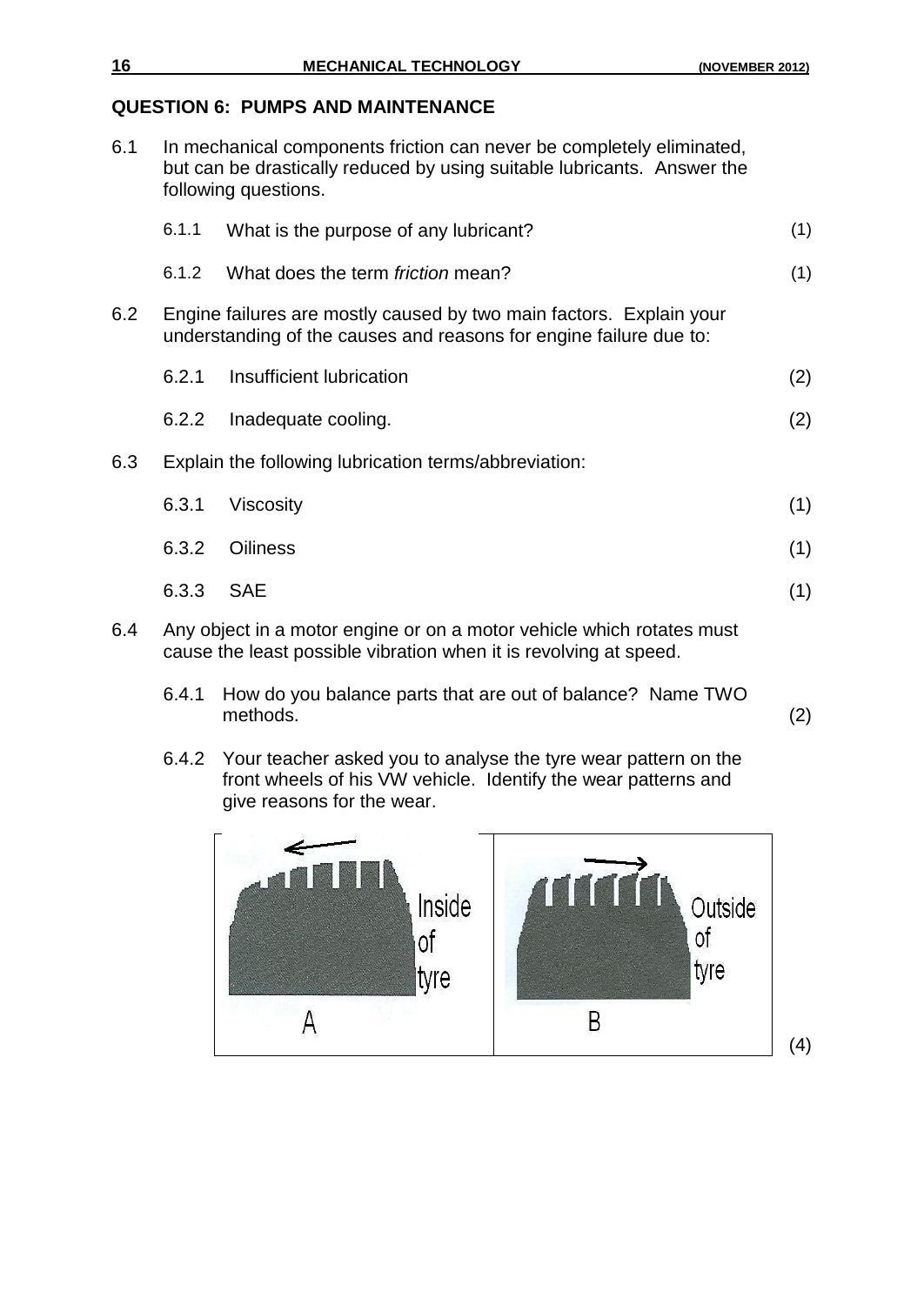#### **QUESTION 6: PUMPS AND MAINTENANCE**

6.1 In mechanical components friction can never be completely eliminated, but can be drastically reduced by using suitable lubricants. Answer the following questions.

|     | 6.1.1 | What is the purpose of any lubricant?                                                                                                     | (1) |
|-----|-------|-------------------------------------------------------------------------------------------------------------------------------------------|-----|
|     | 6.1.2 | What does the term <i>friction</i> mean?                                                                                                  | (1) |
| 6.2 |       | Engine failures are mostly caused by two main factors. Explain your<br>understanding of the causes and reasons for engine failure due to: |     |
|     | 6.2.1 | Insufficient Iubrication                                                                                                                  | (2) |
|     | 6.2.2 | Inadequate cooling.                                                                                                                       | (2) |
| 6.3 |       | Explain the following lubrication terms/abbreviation:                                                                                     |     |
|     | 6.3.1 | <b>Viscosity</b>                                                                                                                          | (1) |
|     | 6.3.2 | <b>Oiliness</b>                                                                                                                           | (1) |
|     | 6.3.3 | <b>SAE</b>                                                                                                                                | (1) |
| հ 4 |       | Any object in a motor engine or on a motor vehicle which rotates must                                                                     |     |

6.4 Any object in a motor engine or on a motor vehicle which rotates must cause the least possible vibration when it is revolving at speed.

- 6.4.1 How do you balance parts that are out of balance? Name TWO methods. (2)
- 6.4.2 Your teacher asked you to analyse the tyre wear pattern on the front wheels of his VW vehicle. Identify the wear patterns and give reasons for the wear.

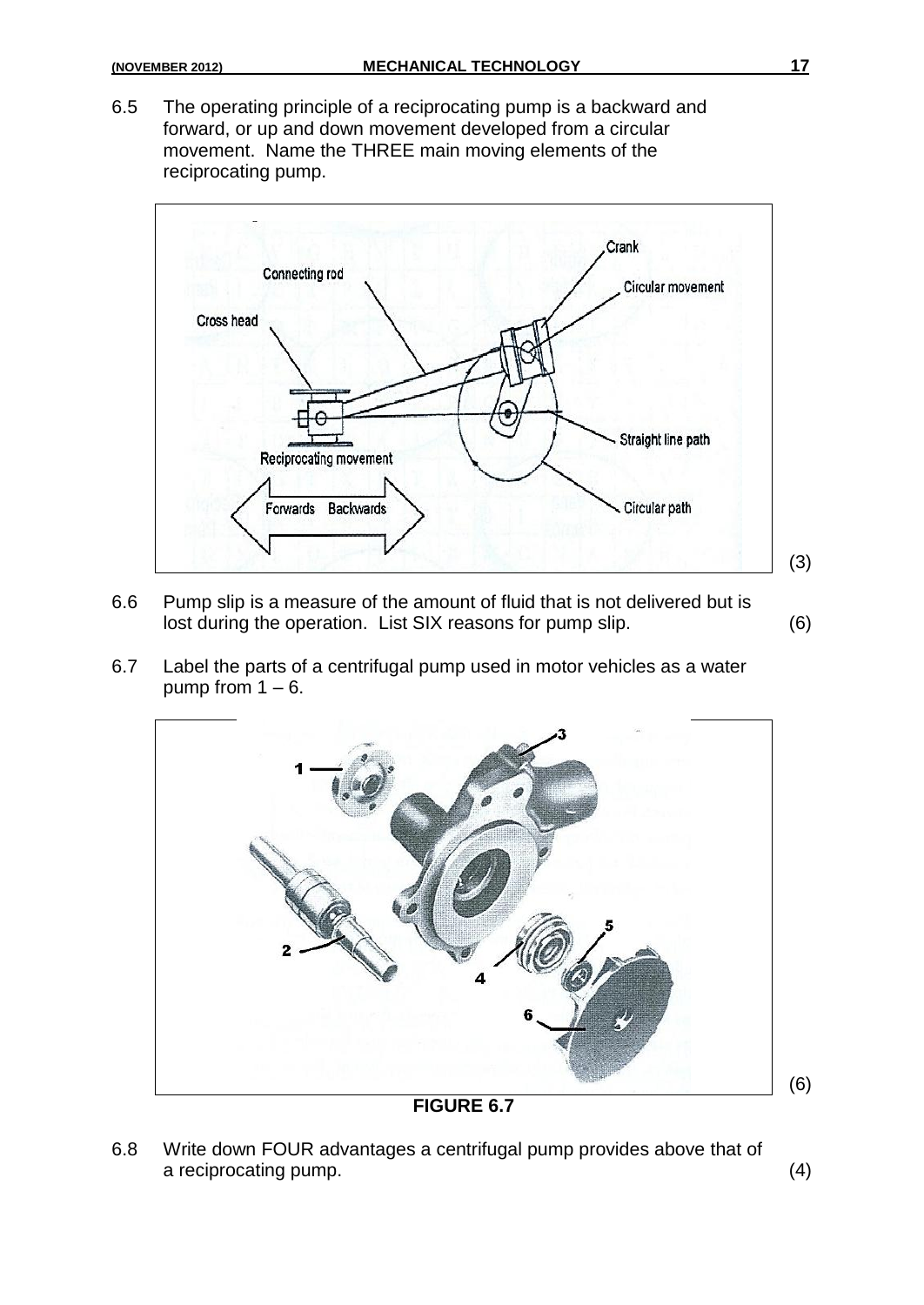6.5 The operating principle of a reciprocating pump is a backward and forward, or up and down movement developed from a circular movement. Name the THREE main moving elements of the reciprocating pump.



- 6.6 Pump slip is a measure of the amount of fluid that is not delivered but is lost during the operation. List SIX reasons for pump slip. (6)
- 6.7 Label the parts of a centrifugal pump used in motor vehicles as a water pump from  $1 - 6$ .



6.8 Write down FOUR advantages a centrifugal pump provides above that of a reciprocating pump. (4)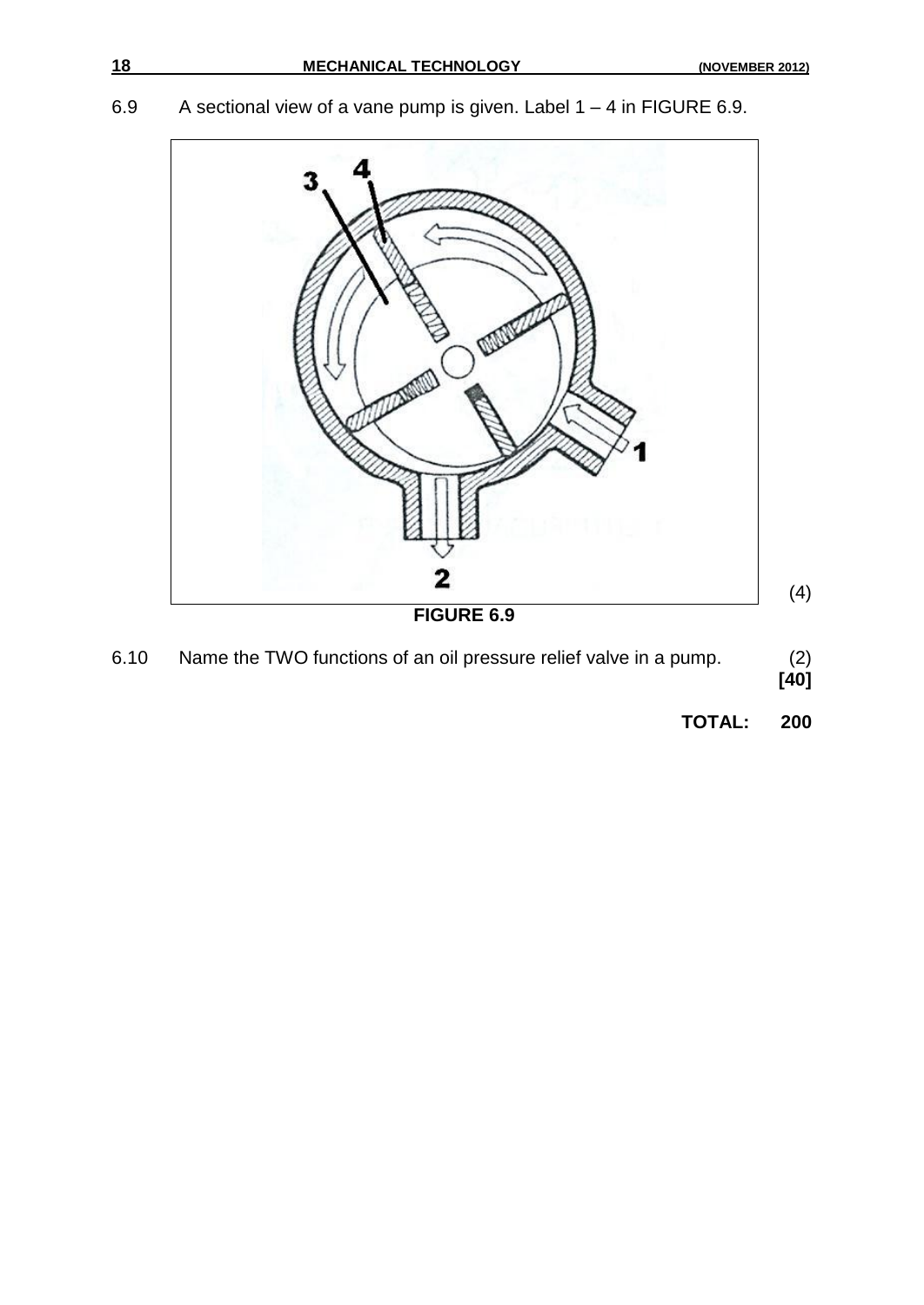6.9 A sectional view of a vane pump is given. Label 1 – 4 in FIGURE 6.9.



| 6.10 | Name the TWO functions of an oil pressure relief valve in a pump. | (2)  |
|------|-------------------------------------------------------------------|------|
|      |                                                                   | [40] |

**TOTAL: 200**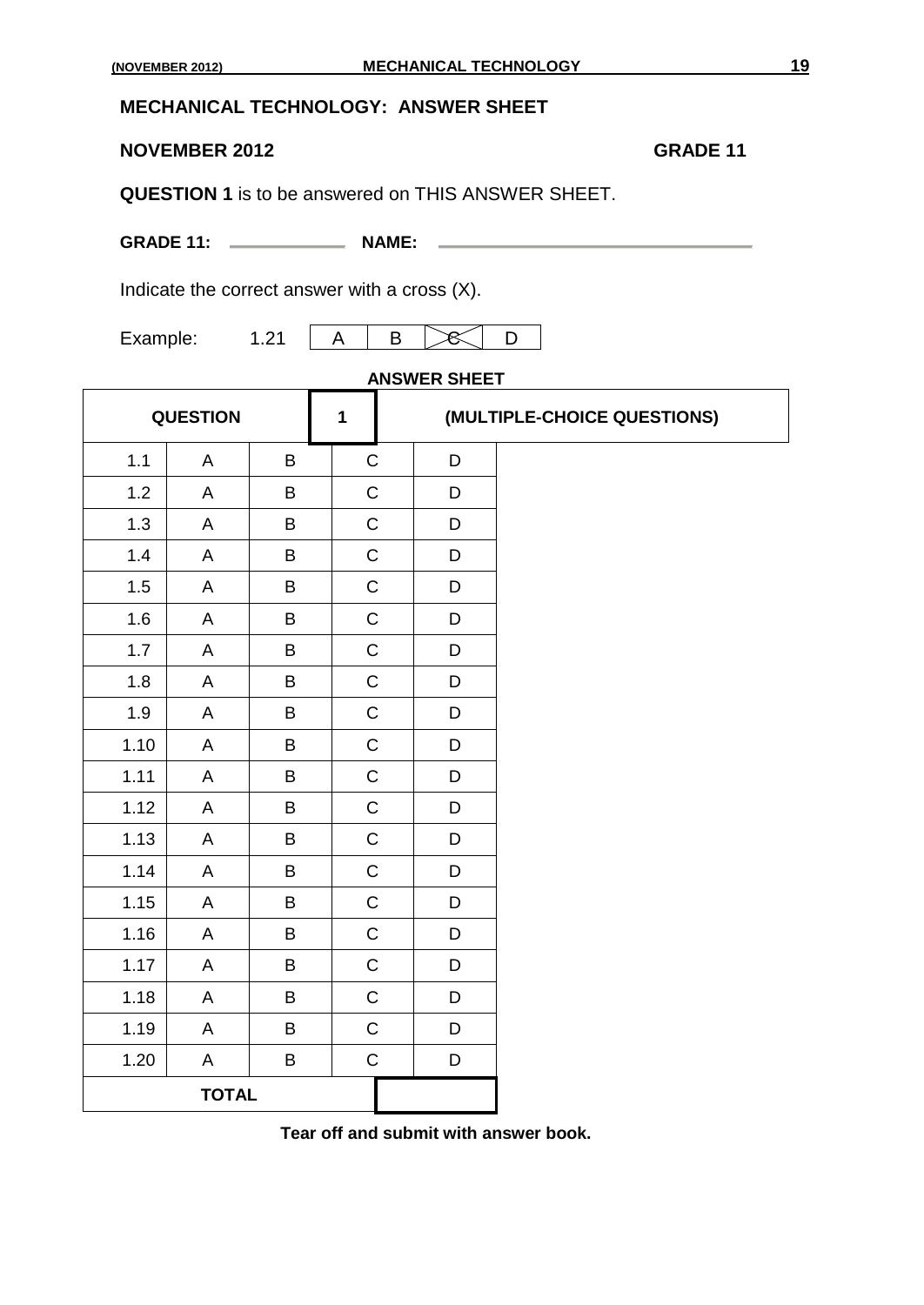#### **MECHANICAL TECHNOLOGY: ANSWER SHEET**

#### **NOVEMBER 2012 GRADE 11**

**QUESTION 1** is to be answered on THIS ANSWER SHEET.

**GRADE 11:** NAME: NAME:

Indicate the correct answer with a cross (X).

Example:  $1.21 \mid A \mid B \mid \mathcal{B} \mid D$ 

## **ANSWER SHEET**

| <b>QUESTION</b><br>$\mathbf{1}$ |              |             |              |             | (MULTIPLE-CHOICE QUESTIONS) |
|---------------------------------|--------------|-------------|--------------|-------------|-----------------------------|
| 1.1                             | A            | B           | $\mathsf C$  | D           |                             |
| $1.2$                           | A            | B           | $\mathsf C$  | D           |                             |
| 1.3                             | A            | $\sf B$     | $\mathsf C$  | $\mathsf D$ |                             |
| 1.4                             | A            | B           | $\mathbf C$  | D           |                             |
| 1.5                             | A            | $\sf B$     | $\mathsf C$  | D           |                             |
| 1.6                             | $\mathsf{A}$ | $\mathsf B$ | $\mathsf{C}$ | D           |                             |
| 1.7                             | A            | B           | $\mathsf C$  | D           |                             |
| 1.8                             | A            | B           | $\mathbf C$  | D           |                             |
| 1.9                             | A            | $\sf B$     | $\mathsf C$  | D           |                             |
| 1.10                            | A            | B           | $\mathsf C$  | D           |                             |
| 1.11                            | A            | B           | $\mathsf C$  | D           |                             |
| 1.12                            | A            | B           | $\mathsf C$  | D           |                             |
| 1.13                            | A            | B           | $\mathsf C$  | D           |                             |
| 1.14                            | A            | B           | $\mathsf{C}$ | D           |                             |
| 1.15                            | A            | B           | $\mathsf C$  | D           |                             |
| 1.16                            | A            | B           | $\mathsf C$  | D           |                             |
| 1.17                            | A            | B           | $\mathsf C$  | D           |                             |
| 1.18                            | A            | B           | $\mathsf C$  | D           |                             |
| 1.19                            | A            | $\sf B$     | $\mathsf C$  | D           |                             |
| 1.20                            | A            | B           | $\mathsf C$  | $\mathsf D$ |                             |
|                                 | <b>TOTAL</b> |             |              |             |                             |

**Tear off and submit with answer book.**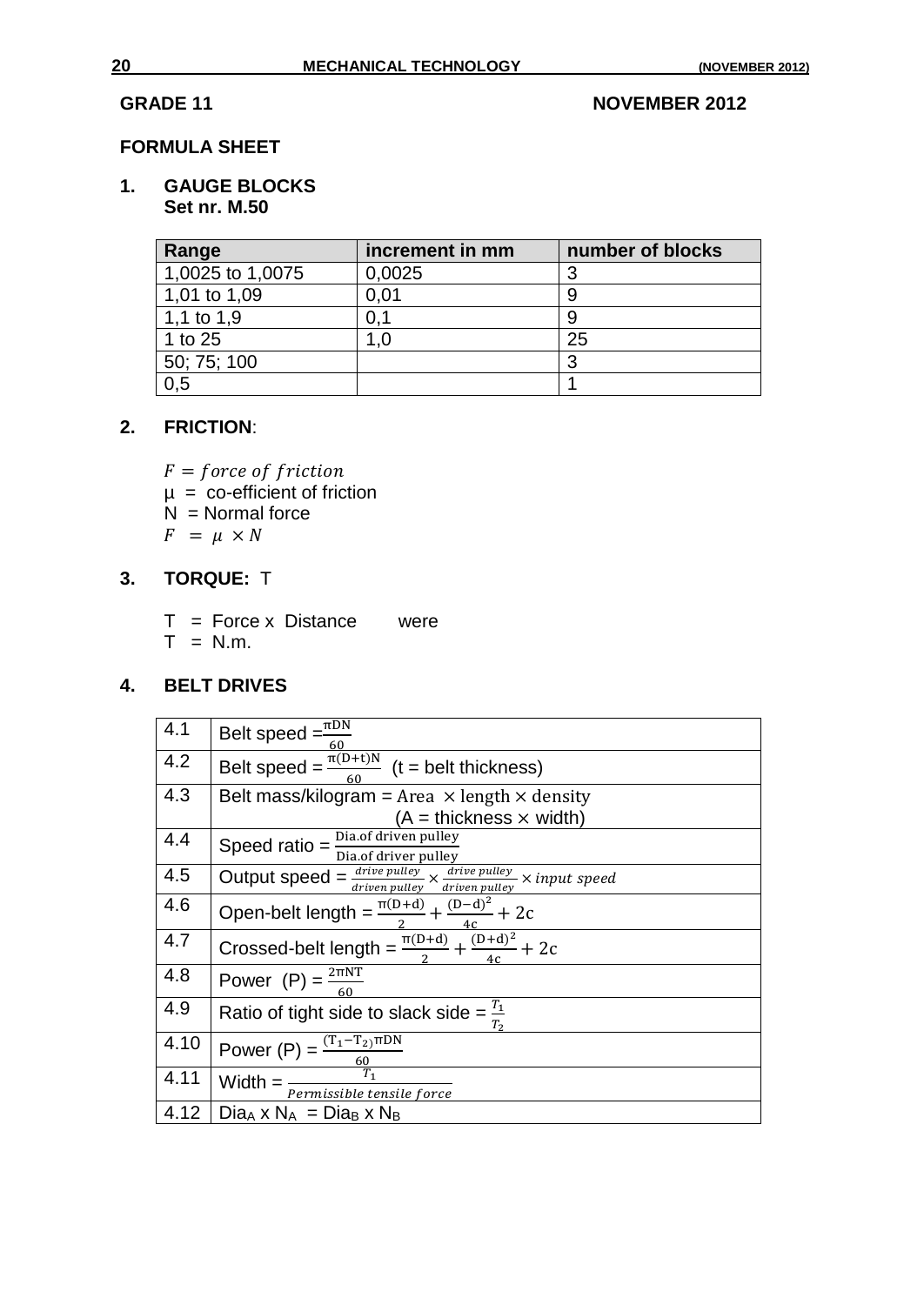#### **GRADE 11** NOVEMBER 2012

#### **FORMULA SHEET**

#### **1. GAUGE BLOCKS Set nr. M.50**

| Range            | increment in mm | number of blocks |
|------------------|-----------------|------------------|
| 1,0025 to 1,0075 | 0,0025          |                  |
| 1,01 to 1,09     | 0.01            |                  |
| 1,1 to $1,9$     |                 |                  |
| 1 to 25          | .0              | 25               |
| 50; 75; 100      |                 | റ                |
| 0,5              |                 |                  |

#### **2. FRICTION**:

F

- µ = co-efficient of friction
- $N =$  Normal force

 $F = \mu \times N$ 

## **3. TORQUE:** T

- $T =$  Force x Distance were
- $T = N.m.$

#### **4. BELT DRIVES**

| 4.1  | Belt speed = $\frac{\pi DN}{\pi}$<br>60                                                                                                                            |
|------|--------------------------------------------------------------------------------------------------------------------------------------------------------------------|
| 4.2  | Belt speed = $\frac{\frac{\mu}{\pi(D+t)N}}{60}$ (t = belt thickness)                                                                                               |
| 4.3  | Belt mass/kilogram = Area $\times$ length $\times$ density                                                                                                         |
|      | $(A = \text{thickness} \times \text{width})$                                                                                                                       |
| 4.4  | Speed ratio = $\frac{\text{Dia. of driven pulley}}{\text{A}}$<br>Dia.of driver pulley                                                                              |
| 4.5  | Output speed = $\frac{drive \text{ pulse} }{drive \text{ pulse}} \times \frac{drive \text{ pulse} \text{ pulse} }{drive \text{ pulse}} \times input \text{ speed}$ |
| 4.6  | Open-belt length = $\frac{\pi(D+d)}{2} + \frac{(D-d)^2}{4c} + 2c$                                                                                                  |
| 4.7  | Crossed-belt length = $\frac{\pi(D+d)}{2} + \frac{(D+d)^2}{4} + 2c$                                                                                                |
| 4.8  | Power (P) = $\frac{2 \pi NT}{60}$                                                                                                                                  |
| 4.9  | Ratio of tight side to slack side = $\frac{T_1}{T_2}$                                                                                                              |
| 4.10 | Power $(P) = \frac{(T_1 - T_2)\pi DN}{60}$<br>Width $T_1$                                                                                                          |
| 4.11 | Width $=$ -<br>Permissible tensile force                                                                                                                           |
| 4.12 | $Dia_A \times N_A = Dia_B \times N_B$                                                                                                                              |